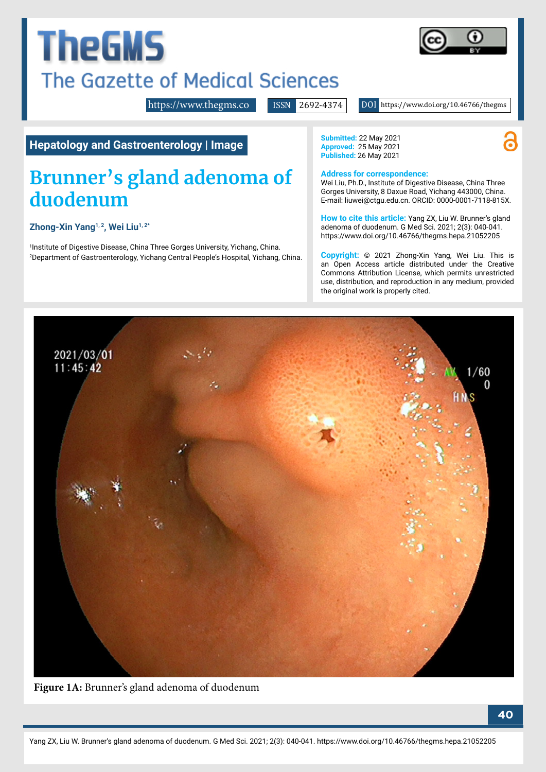# **The GMS** The Gazette of Medical Sciences

<https://www.thegms.co>

ISSN 2692-4374 DOI https://www.doi.org/10.46766/thegms

**Hepatology and Gastroenterology | Image**

# **Brunner's gland adenoma of duodenum**

#### Zhong-Xin Yang<sup>1, 2</sup>, Wei Liu<sup>1, 2\*</sup>

1 Institute of Digestive Disease, China Three Gorges University, Yichang, China. 2 Department of Gastroenterology, Yichang Central People's Hospital, Yichang, China. **Submitted:** 22 May 2021 **Approved:** 25 May 2021 **Published:** 26 May 2021

#### **Address for correspondence:**

Wei Liu, Ph.D., Institute of Digestive Disease, China Three Gorges University, 8 Daxue Road, Yichang 443000, China. E-mail: liuwei@ctgu.edu.cn. ORCID: 0000-0001-7118-815X.

**How to cite this article:** Yang ZX, Liu W. Brunner's gland adenoma of duodenum. G Med Sci. 2021; 2(3): 040-041. https://www.doi.org/10.46766/thegms.hepa.21052205

**Copyright:** © 2021 Zhong-Xin Yang, Wei Liu. This is an Open Access article distributed under the Creative Commons Attribution License, which permits unrestricted use, distribution, and reproduction in any medium, provided the original work is properly cited.



**Figure 1A:** Brunner's gland adenoma of duodenum